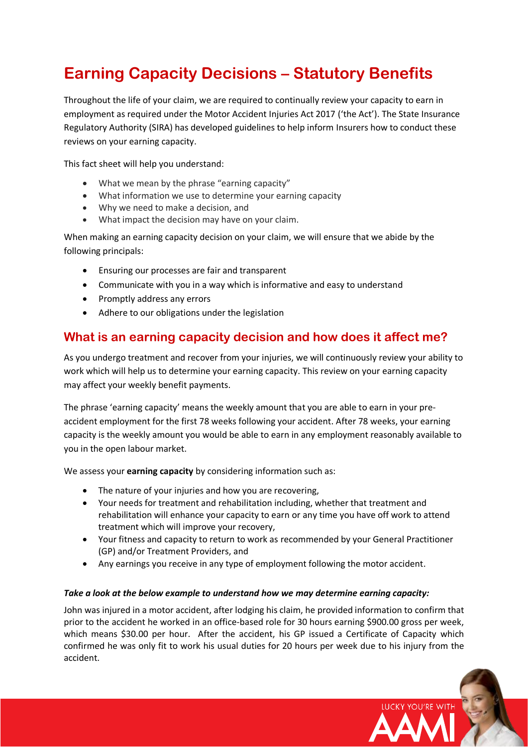# **Earning Capacity Decisions – Statutory Benefits**

Throughout the life of your claim, we are required to continually review your capacity to earn in employment as required under the Motor Accident Injuries Act 2017 ('the Act'). The State Insurance Regulatory Authority (SIRA) has developed guidelines to help inform Insurers how to conduct these reviews on your earning capacity.

This fact sheet will help you understand:

- What we mean by the phrase "earning capacity"
- What information we use to determine your earning capacity
- Why we need to make a decision, and
- What impact the decision may have on your claim.

When making an earning capacity decision on your claim, we will ensure that we abide by the following principals:

- Ensuring our processes are fair and transparent
- Communicate with you in a way which is informative and easy to understand
- Promptly address any errors
- Adhere to our obligations under the legislation

# **What is an earning capacity decision and how does it affect me?**

As you undergo treatment and recover from your injuries, we will continuously review your ability to work which will help us to determine your earning capacity. This review on your earning capacity may affect your weekly benefit payments.

The phrase 'earning capacity' means the weekly amount that you are able to earn in your preaccident employment for the first 78 weeks following your accident. After 78 weeks, your earning capacity is the weekly amount you would be able to earn in any employment reasonably available to you in the open labour market.

We assess your **earning capacity** by considering information such as:

- The nature of your injuries and how you are recovering.
- Your needs for treatment and rehabilitation including, whether that treatment and rehabilitation will enhance your capacity to earn or any time you have off work to attend treatment which will improve your recovery,
- Your fitness and capacity to return to work as recommended by your General Practitioner (GP) and/or Treatment Providers, and
- Any earnings you receive in any type of employment following the motor accident.

#### *Take a look at the below example to understand how we may determine earning capacity:*

John was injured in a motor accident, after lodging his claim, he provided information to confirm that prior to the accident he worked in an office-based role for 30 hours earning \$900.00 gross per week, which means \$30.00 per hour. After the accident, his GP issued a Certificate of Capacity which confirmed he was only fit to work his usual duties for 20 hours per week due to his injury from the accident.

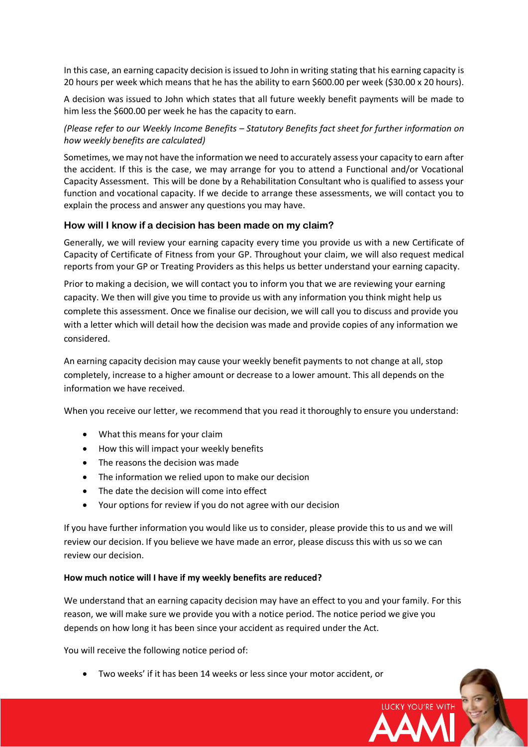In this case, an earning capacity decision is issued to John in writing stating that his earning capacity is 20 hours per week which means that he has the ability to earn \$600.00 per week (\$30.00 x 20 hours).

A decision was issued to John which states that all future weekly benefit payments will be made to him less the \$600.00 per week he has the capacity to earn.

*(Please refer to our Weekly Income Benefits – Statutory Benefits fact sheet for further information on how weekly benefits are calculated)*

Sometimes, we may not have the information we need to accurately assess your capacity to earn after the accident. If this is the case, we may arrange for you to attend a Functional and/or Vocational Capacity Assessment. This will be done by a Rehabilitation Consultant who is qualified to assess your function and vocational capacity. If we decide to arrange these assessments, we will contact you to explain the process and answer any questions you may have.

#### **How will I know if a decision has been made on my claim?**

Generally, we will review your earning capacity every time you provide us with a new Certificate of Capacity of Certificate of Fitness from your GP. Throughout your claim, we will also request medical reports from your GP or Treating Providers as this helps us better understand your earning capacity.

Prior to making a decision, we will contact you to inform you that we are reviewing your earning capacity. We then will give you time to provide us with any information you think might help us complete this assessment. Once we finalise our decision, we will call you to discuss and provide you with a letter which will detail how the decision was made and provide copies of any information we considered.

An earning capacity decision may cause your weekly benefit payments to not change at all, stop completely, increase to a higher amount or decrease to a lower amount. This all depends on the information we have received.

When you receive our letter, we recommend that you read it thoroughly to ensure you understand:

- What this means for your claim
- How this will impact your weekly benefits
- The reasons the decision was made
- The information we relied upon to make our decision
- The date the decision will come into effect
- Your options for review if you do not agree with our decision

If you have further information you would like us to consider, please provide this to us and we will review our decision. If you believe we have made an error, please discuss this with us so we can review our decision.

#### **How much notice will I have if my weekly benefits are reduced?**

We understand that an earning capacity decision may have an effect to you and your family. For this reason, we will make sure we provide you with a notice period. The notice period we give you depends on how long it has been since your accident as required under the Act.

**LUCKY YOU'RE WITH** 

You will receive the following notice period of:

• Two weeks' if it has been 14 weeks or less since your motor accident, or